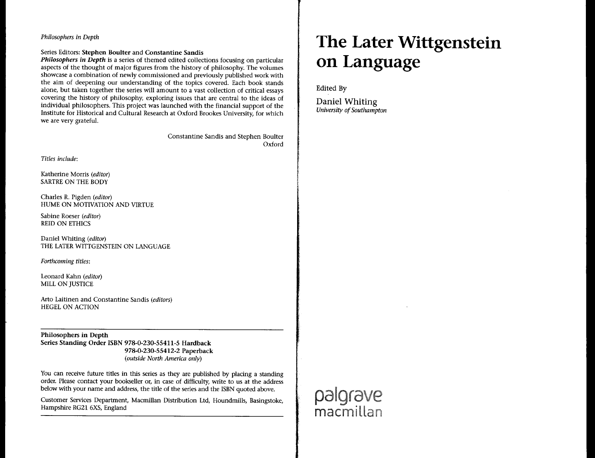Philosophers in Depth

Series Editors: Stephen Boulter and Constantine Sandis

*Philosophers* in *Depth* is a series of themed edited collections focusing on particular aspects of the thought of major figures from the history of philosophy. The volumes showcase a combination of newly commissioned and previously published work with the aim of deepening our understanding of the topics covered. Each book stands alone, but taken together the series will amount to a vast collection of critical essays covering the history of philosophy, exploring issues that are central to the ideas of individual philosophers. This project was launched with the financial support of the Institute for Historical and Cultural Research at Oxford Brookes University, for which we are very grateful.

> Constantine Sandis and Stephen Boulter Oxford

Titles include:

Katherine Morris (editor) SARTRE ON THE BODY

Charles R. Pigden (editor) HUME ON MOTIVATION AND VIRTUE

Sabine Roeser (editor) REID ON ETHICS

Daniel Whiting (editor) THE LATER WITTGENSTEIN ON LANGUAGE

Forthcoming titles:

Leonard Kahn (editor) MILL ON JUSTICE

Arto Laitinen and Constantine Sandis (editors) HEGEL ON ACTION

Philosophers in Depth Series Standing Order ISBN 978-0-230-55411-5 Hardback 978-0-230-55412-2 Paperback (outside North America only)

You can receive future titles in this series as they are published by placing a standing order. Please contact your bookseller or, in case of difficulty, write to us at the address below with your name and address, the title of the series and the ISBN quoted above.

Customer Services Department, Macmillan Distribution Ltd, Houndmills, Basingstoke, Hampshire RG21 6XS, England

# **The Later Wittgenstein on Language**

Edited By

Daniel Whiting University of Southampton

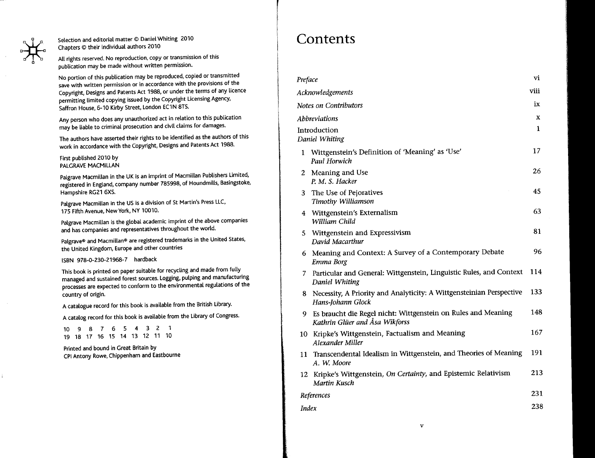\*

Selection and editorial matter © Daniel Whiting 2010 Chapters © their individual authors 2010

All rights reserved. No reproduction, copy or transmission of this publication may be made without written permission.

No portion of this publication may be reproduced, copied or transmitted save with written permission or in accordance with the provisions of the Copyright, Designs and Patents Act 1988, or under the terms of any licence permitting limited copying issued by the Copyright Licensing Agency, Saffron House, 6-10 Kirby Street, London EC1N 8TS.

Any person who does any unauthorized act in relation to this publication may be liable to criminal prosecution and civil claims for damages.

The authors have asserted their rights to be identified as the authors of this work in accordance with the Copyright, Designs and Patents Act 1988.

First published 2010 by PALGRAVE MACMILLAN

Palgrave Macmillan in the UK is an imprint of Macmillan Publishers Limited, registered in England, company number 785998, of Houndmills, Basingstoke, Hampshire RG21 6XS.

Palgrave Macmillan in the US is a division of St Martin's Press LLC, 17S Fifth Avenue, New York, NY 10010.

Palgrave Macmillan is the global academic imprint of the above companies and has companies and representatives throughout the world.

Palgrave® and Macmillan® are registered trademarks in the United States, the United Kingdom, Europe and other countries

ISBN 978-0-230-21968-7 hardback

This book is printed on paper suitable for recycling and made from fully managed and sustained forest sources. Logging, pulping and manufacturing processes are expected to conform to the environmental regulations of the country of origin.

A catalogue record for this book is available from the British Library.

A catalog record for this book is available from the Library of Congress.

10 9 8 7 6 5 4 3 2 1 19 18 17 16 15 14 13 12 11 10

Printed and bound in Great Britain by CPI Antony Rowe, Chippenham and Eastbourne

# **Contents**

| Preface                        |                                                                                                 | vi   |
|--------------------------------|-------------------------------------------------------------------------------------------------|------|
| Acknowledgements               |                                                                                                 | viii |
| <b>Notes on Contributors</b>   |                                                                                                 | ix   |
| Abbreviations                  |                                                                                                 | x    |
| Introduction<br>Daniel Whiting |                                                                                                 | 1    |
| 1                              | Wittgenstein's Definition of 'Meaning' as 'Use'<br>Paul Horwich                                 | 17   |
| 2                              | Meaning and Use<br>P. M. S. Hacker                                                              | 26   |
| 3                              | The Use of Pejoratives<br>Timothy Williamson                                                    | 45   |
|                                | 4 Wittgenstein's Externalism<br>William Child                                                   | 63   |
| 5.                             | Wittgenstein and Expressivism<br>David Macarthur                                                | 81   |
|                                | 6 Meaning and Context: A Survey of a Contemporary Debate<br>Emma Borg                           | 96   |
| 7.                             | Particular and General: Wittgenstein, Linguistic Rules, and Context<br>Daniel Whiting           | 114  |
| 8                              | Necessity, A Priority and Analyticity: A Wittgensteinian Perspective<br>Hans-Johann Glock       | 133  |
| 9.                             | Es braucht die Regel nicht: Wittgenstein on Rules and Meaning<br>Kathrin Glüer and Åsa Wikforss | 148  |
|                                | 10 Kripke's Wittgenstein, Factualism and Meaning<br>Alexander Miller                            | 167  |
| 11                             | Transcendental Idealism in Wittgenstein, and Theories of Meaning<br>A. W. Moore                 | 191  |
| 12                             | Kripke's Wittgenstein, On Certainty, and Epistemic Relativism<br>Martin Kusch                   | 213  |
| References                     |                                                                                                 | 231  |
|                                | <b>Index</b>                                                                                    |      |
|                                |                                                                                                 |      |

v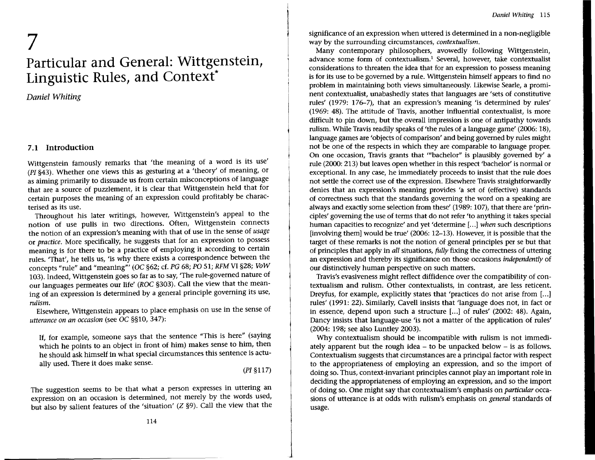# 7 **Particular and General: Wittgenstein, Linguistic Rules, and Contexf**

Daniel Whiting

### **7.1 Introduction**

Wittgenstein famously remarks that 'the meaning of a word is its use' *(PI* §43). Whether one views this as gesturing at a 'theory' of meaning, or as aiming primarily to dissuade us from certain misconceptions of language that are a source of puzzlement, it is clear that Wittgenstein held that for certain purposes the meaning of an expression could profitably be characterised as its use.

Throughout his later writings, however, Wittgenstein's appeal to the notion of use pulls in two directions. Often, Wittgenstein connects the notion of an expression's meaning with that of use in the sense of *usage* or *practice.* More specifically, he suggests that for an expression to possess meaning is for there to be a practice of employing it according to certain rules. 'That', he tells us, 'is why there exists a correspondence between the concepts "rule" and "meaning'" (OC §62; ct. PG 68; PO 51; RFMVI §28; VoW 103). Indeed, Wittgenstein goes so far as to say, 'The rule-governed nature of our languages permeates our life' (ROC §303). Call the view that the meaning of an expression is determined by a general principle governing its use, *rulism.*

Elsewhere, Wittgenstein appears to place emphasis on use in the sense of *utterance on an occasion* (see OC §§1O, 347):

If, for example, someone says that the sentence "This is here" (saying which he points to an object in front of him) makes sense to him, then he should ask himself in what special circumstances this sentence is actually used. There it does make sense.

#### (PI §1l7)

The suggestion seems to be that what a person expresses in uttering an expression on an occasion is determined, not merely by the words used, but also by salient features of the 'situation' (Z §9). Call the view that the significance of an expression when uttered is determined in a non-negligible way by the surrounding circumstances, *contextualism.*

Many contemporary philosophers, avowedly following Wittgenstein, advance some form of contextualism.<sup>1</sup> Several, however, take contextualist considerations to threaten the idea that for an expression to possess meaning is for its use to be governed by a rule. Wittgenstein himself appears to find no problem in maintaining both views simultaneously. Likewise Searle, a prominent contextualist, unabashedly states that languages are 'sets of constitutive rules' (1979: 176-7), that an expression's meaning 'is determined by rules' (1969: 48). The attitude of Travis, another influential contextualist, is more difficult to pin down, but the overall impression is one of antipathy towards rulism. While Travis readily speaks of 'the rules of a language game' (2006: 18), language games are 'objects of comparison' and being governed by rules might not be one of the respects in which they are comparable to language proper. On one occasion, Travis grants that "'bachelor" is plausibly governed by' a rule (2000: 213) but leaves open whether in this respect 'bachelor' is normal or exceptional. In any case, he immediately proceeds to insist that the rule does not settle the correct use of the expression. Elsewhere Travis straightforwardly denies that an expression's meaning provides 'a set of (effective) standards of correctness such that the standards governing the word on a speaking are always and exactly some selection from these' (1989: 107), that there are 'principles' governing the use of terms that do not refer 'to anything it takes special human capacities to recognize' and yet 'determine [...] *when* such descriptions [involving them] would be true' (2006: 12-13). However, it is possible that the target of these remarks is not the notion of general principles per se but that of principles that apply in *all* situations, *fully* fixing the correctness of uttering an expression and thereby its significance on those occasions *independently* of our distinctively human perspective on such matters.

Travis's evasiveness might reflect diffidence over the compatibility of contextualism and rulism. Other contextualists, in contrast, are less reticent. Dreyfus, for example, explicitly states that 'practices do not arise from [...] rules' (1991: 22). Similarly, Cavell insists that 'language does not, in fact or in essence, depend upon such a structure [...] of rules' (2002: 48). Again, Dancy insists that language-use 'is not a matter of the application of rules' (2004: 198; see also Luntley 2003).

Why contextualism should be incompatible with rulism is not immediately apparent but the rough idea  $-$  to be unpacked below  $-$  is as follows. Contextualism suggests that circumstances are a principal factor with respect to the appropriateness of employing an expression, and so the import of doing so. Thus, context-invariant principles cannot play an important role in deciding the appropriateness of employing an expression, and so the import of doing so. One might say that contextualism's emphasis on *particular* occasions of utterance is at odds with rulism's emphasis on *general* standards of usage.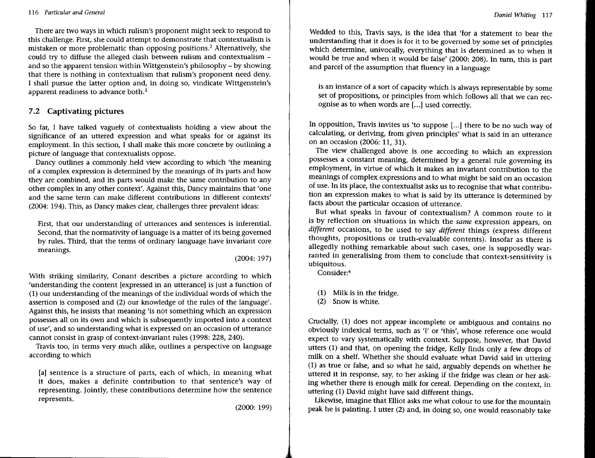There are two ways in which rulism's proponent might seek to respond to this challenge. First, she could attempt to demonstrate that contextualism is mistaken or more problematic than opposing positions.<sup>2</sup> Alternatively, she could try to diffuse the alleged clash between rulism and contextualism and so the apparent tension within Wittgenstein's philosophy - by showing that there is nothing in contextualism that rulism's proponent need deny. I shall pursue the latter option and, in doing so, vindicate Wittgenstein's apparent readiness to advance both.<sup>3</sup>

## 7.2 **Captivating pictures**

So far, I have talked vaguely of contextualists holding a view about the significance of an uttered expression and what speaks for or against its employment. In this section, I shall make this more concrete by outlining a picture of language that contextualists oppose.

Dancy outlines a commonly held view according to which 'the meaning of a complex expression is determined by the meanings of its parts and how they are combined, and its parts would make the same contribution to any other complex in any other context'. Against this, Dancy maintains that 'one and the same term can make different contributions in different contexts' (2004: 194). This, as Dancy makes clear, challenges three prevalent ideas:

First, that our understanding of utterances and sentences is inferential. Second, that the normativity of language is a matter of its being governed by rules. Third, that the terms of ordinary language have invariant core meanings.

(2004: 197)

With striking similarity, Conant describes a picture according to which 'understanding the content [expressed in an utterance] is just a function of (1) our understanding of the meanings of the individual words of which the assertion is composed and (2) our knowledge of the rules of the language'. Against this, he insists that meaning 'is not something which an expression possesses all on its own and which is subsequently imported into a context of use', and so understanding what is expressed on an occasion of utterance cannot consist in grasp of context-invariant rules (1998: 228, 240).

Travis too, in terms very much alike, outlines a perspective on language according to which

[a] sentence is a structure of parts, each of which, in meaning what it does, makes a definite contribution to that sentence's way of representing. Jointly, these contributions determine how the sentence represents.

(2000: 199)

Wedded to this, Travis says, is the idea that 'for a statement to bear the understanding that it does is for it to be governed by some set of principles which determine, univocally, everything that is determined as to when it would be true and when it would be false' (2000: 208). In turn, this is part and parcel of the assumption that fluency in a language

is an instance of a sort of capacity which is always representable by some set'of propositions, or principles from which follows all that we can recognise as to when words are [...] used correctly.

In opposition, Travis invites us 'to suppose [...] there to be no such way of calculating, or deriving, from given principles' what is said in an utterance on an occasion (2006: 11, 31).

The view challenged above is one according to which an expression possesses a constant meaning, determined by a general rule governing its employment, in virtue of which it makes an invariant contribution to the meanings of complex expressions and to what might be said on an occasion of use. In its place, the contextualist asks us to recognise that what contribution an expression makes to what is said by its utterance is determined by facts about the particular occasion of utterance.

But what speaks in favour of contextualism? A common route to it is by reflection on situations in which the same expression appears, on *different* occasions, to be used to say *different* things (express different thoughts, propositions or truth-evaluable contents). Insofar as there is allegedly nothing remarkable about such cases, one is supposedly warranted in generalising from them to conclude that context-sensitivity is ubiquitous.

Consider:4

- (1) Milk is in the fridge.
- (2) Snow is white.

Crucially, (1) does not appear incomplete or ambiguous and contains no obviously indexical terms, such as 'I' or 'this', whose reference one would expect to vary systematically with context. Suppose, however, that David utters (1) and that, on opening the fridge, Kelly finds only a few drops of milk on a shelf. Whether she should evaluate what David said in uttering (1) as true or false, and so what he said, arguably depends on whether he uttered it in response, say, to her asking if the fridge was clean or her asking whether there is enough milk for cereal. Depending on the context, in uttering (1) David might have said different things.

Likewise, imagine that Elliot asks me what colour to use for the mountain peak he is painting. I utter (2) and, in doing so, one would reasonably take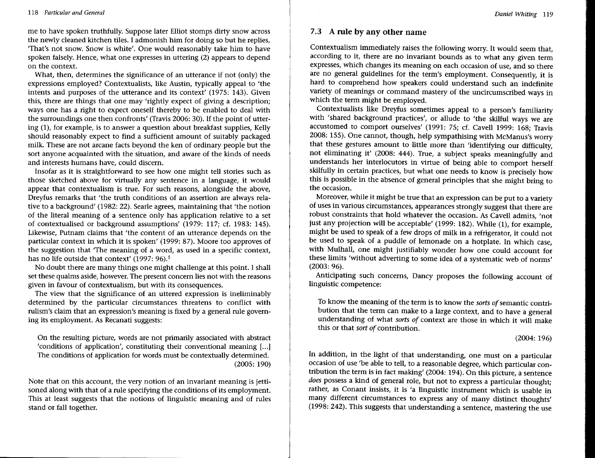me to have spoken truthfully. Suppose later Elliot stomps dirty snow across the newly cleaned kitchen tiles. I admonish him for doing so but he replies, 'That's not snow. Snow is white'. One would reasonably take him to have spoken falsely. Hence, what one expresses in uttering (2) appears to depend on the context.

What, then, determines the significance of an utterance if not (only) the expressions employed? Contextualists, like Austin, typically appeal to 'the intents and purposes of the utterance and its context' (1975: 143). Given this, there are things that one may 'rightly expect of giving a description; ways one has a right to expect oneself thereby to be enabled to deal with the surroundings one then confronts' (Travis 2006: 30). If the point of uttering (1), for example, is to answer a question about breakfast supplies, Kelly should reasonably expect to find a sufficient amount of suitably packaged milk. These are not arcane facts beyond the ken of ordinary people but the sort anyone acquainted with the situation, and aware of the kinds of needs and interests humans have, could discern.

Insofar as it is straightforward to see how one might tell stories such as those sketched above for Virtually any sentence in a language, it would appear that contextualism is true. For such reasons, alongside the above, Dreyfus remarks that 'the truth conditions of an assertion are always relative to a background' (1982: 22). Searle agrees, maintaining that 'the notion of the literal meaning of a sentence only has application relative to a set of contextualised or background assumptions' (1979: 117; cf. 1983: 145). Likewise, Putnam claims that 'the content of an utterance depends on the particular context in which it is spoken' (1999: 87). Moore too approves of the suggestion that 'The meaning of a word, as used in a specific context, has no life outside that context' (1997: 96).<sup>5</sup>

No doubt there are many things one might challenge at this point. I shall set these qualms aside, however. The present concern lies not with the reasons given in favour of contextualism, but with its consequences.

The view that the significance of an uttered expression is ineliminably determined by the particular circumstances threatens to conflict with rulism's claim that an expression's meaning is fixed by a general rule governing its employment. As Recanati suggests:

On the resulting picture, words are not primarily associated with abstract 'conditions of application', constituting their conventional meaning [...] The conditions of application for words must be contextually determined. (2005: 190)

Note that on this account, the very notion of an invariant meaning is jettisoned along with that of a rule specifying the conditions of its employment. This at least suggests that the notions of linguistic meaning and of rules stand or fall together.

## 7.3 **A rule by any other name**

Contextualism immediately raises the following worry. It would seem that, according to it, there are no invariant bounds as to what any given term expresses, which changes its meaning on each occasion of use, and so there are no general guidelines for the term's employment. Consequently, it is hard to comprehend how speakers could understand such an indefinite variety of meanings or command mastery of the uncircumscribed ways in which the term might be employed.

Contextualists like Dreyfus sometimes appeal to a person's familiarity with 'shared background practices', or allude to 'the skilful ways we are accustomed to comport ourselves' (1991: 75; cf. Cavell 1999: 168; Travis 2008: ISS). One cannot, though, help sympathising with McManus's worry that these gestures amount to little more than 'identifying our difficulty, not eliminating it' (2008: 444). True, a subject speaks meaningfully and understands her interlocutors in virtue of being able to comport herself skilfully in certain practices, but what one needs to know is precisely how this is possible in the absence of general principles that she might bring to the occasion.

Moreover, while it might be true that an expression can be put to a variety of uses in various circumstances, appearances strongly suggest that there are robust constraints that hold whatever the occasion. As Cavell admits, 'not just any projection will be acceptable' (1999: 182). While (1), for example, might be used to speak of a few drops of milk in a refrigerator, it could not be used to speak of a puddle of lemonade on a hotplate. In which case, with Mulhall, one might justifiably wonder how one could account for these limits 'without adverting to some idea of a systematic web of norms' (2003: 96).

Anticipating such concerns, Dancy proposes the following account of linguistic competence:

To know the meaning of the term is to know the *sorts of*semantic contribution that the term can make to a large context, and to have a general understanding of what *sorts of* context are those in which it will make this or that *sort of* contribution.

(2004: 196)

In addition, in the light of that understanding, one must on a particular occasion of use 'be able to tell, to a reasonable degree, which particular contribution the term is in fact making' (2004: 194). On this picture, a sentence *does* possess a kind of general role, but not to express a particular thought; rather, as Conant insists, it is 'a linguistic instrument which is usable in many different circumstances to express any of many distinct thoughts' (1998: 242). This suggests that understanding a sentence, mastering the use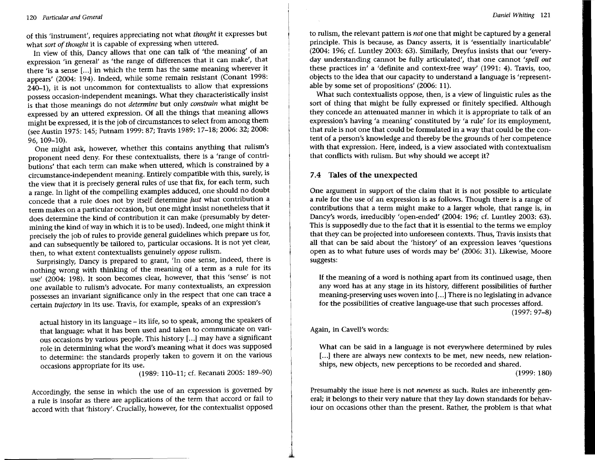of this 'instrument', requires appreciating not what *thought* it expresses but what *sort* of thought it is capable of expressing when uttered.

In view of this, Dancy allows that one can talk of 'the meaning' of an expression 'in general' as 'the range of differences that it can make', that there 'is a sense [...] in which the term has the same meaning wherever it appears' (2004: 194). Indeed, while some remain resistant (Conant 1998: 240-1), it is not uncommon for contextualists to allow that expressions possess occasion-independent meanings. What they characteristically insist is that those meanings do not *determine* but only *constrain* what might be expressed by an uttered expression. Of all the things that meaning allows might be expressed, it is the job of circumstances to select from among them (see Austin 1975: 145; Putnam 1999: 87; Travis 1989: 17-18; 2006: 32; 2008: 96, 109-10).

One might ask, however, whether this contains anything that rulism's proponent need deny. For these contextualists, there is a 'range of contributions' that each term can make when uttered, which is constrained by a circumstance-independent meaning. Entirely compatible with this, surely, is the view that it is precisely general rules of use that fix, for each term, such a range. In light of the compelling examples adduced, one should no doubt concede that a rule does not by itself determine *just* what contribution a term makes on a particular occasion, but one might insist nonetheless that it does determine the kind of contribution it can make (presumably by determining the kind of way in which it is to be used). Indeed, one might think it precisely the job of rules to provide general guidelines which prepare us for, and can subsequently be tailored to, particular occasions. It is not yet clear, then, to what extent contextualists genuinely *oppose* rulism.

Surprisingly, Dancy is prepared to grant, 'In one sense, indeed, there is nothing wrong with thinking of the meaning of a term as a rule for its use' (2004: 198). It soon becomes clear, however, that this 'sense' is not one available to rulism's advocate. For many contextualists, an expression possesses an invariant significance only in the respect that one can trace a certain *trajectory* in its use. Travis, for example, speaks of an expression's

actual history in its language - its life, so to speak, among the speakers of that language: what it has been used and taken to communicate on various occasions by various people. This history [...] may have a significant role in determining what the word's meaning what it does was supposed to determine: the standards properly taken to govern it on the various occasions appropriate for its use.

(1989: 110-11; d. Recanati 2005: 189-90)

Accordingly, the sense in which the use of an expression is governed by a rule is insofar as there are applications of the term that accord or fail to accord with that 'history'. Crucially, however, for the contextualist opposed to rulism, the relevant pattern is *not* one that might be captured by a general principle. This is because, as Dancy asserts, it is 'essentially inarticulable' (2004: 196; d. Luntley 2003: 63). Similarly, Dreyfus insists that our 'everyday understanding cannot be fully articulated', that one cannot *'spell out* these practices in' a 'definite and context-free way' (1991: 4). Travis, too, objects to the idea that our capacity to understand a language is 'representable by some set of propositions' (2006: 11).

What such contextualists oppose, then, is a view of linguistic rules as the sort of thing that might be fully expressed or finitely specified. Although they concede an attenuated manner in which it is appropriate to talk of an expression's having 'a meaning' constituted by 'a rule' for its employment, that rule is not one that could be formulated in a way that could be the content of a person's knowledge and thereby be the grounds of her competence with that expression. Here, indeed, is a view associated with contextualism that conflicts with rulism. But why should we accept it?

## **7.4 Tales of the unexpected**

One argument in support of the claim that it is not possible to articulate a rule for the use of an expression is as follows. Though there is a range of contributions that a term might make to a larger whole, that range is, in Dancy's words, irreducibly 'open-ended' (2004: 196; cf. Luntley 2003: 63). This is supposedly due to the fact that it is essential to the terms we employ that they can be projected into unforeseen contexts. Thus, Travis insists that all that can be said about the 'history' of an expression leaves 'questions open as to what future uses of words may be' (2006: 31). Likewise, Moore suggests:

If the meaning of a word is nothing apart from its continued usage, then any word has at any stage in its history, different possibilities of further meaning-preserving uses woven into [...] There is no legislating in advance for the possibilities of creative language-use that such processes afford. (1997: 97-8)

Again, in Cavell's words:

What can be said in a language is not everywhere determined by rules [...] there are always new contexts to be met, new needs, new relationships, new objects, new perceptions to be recorded and shared.

(1999: 180)

Presumably the issue here is not *newness* as such. Rules are inherently general; it belongs to their very nature that they lay down standards for behaviour on occasions other than the present. Rather, the problem is that what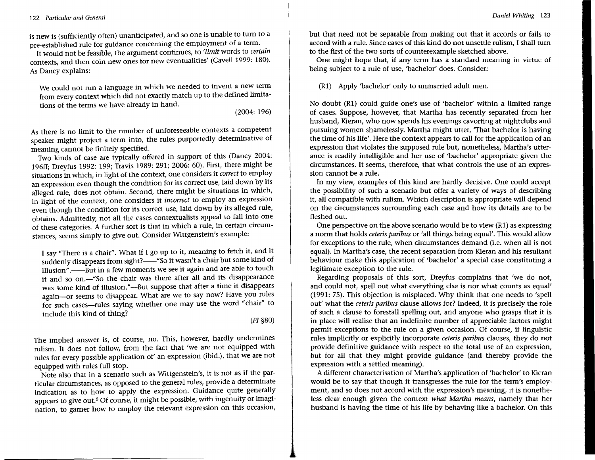is new is (sufficiently often) unanticipated, and so one is unable to turn to a pre-established rule for guidance concerning the employment of a term.

It would not be feasible, the argument continues, to *'limit* words to *certain* contexts, and then coin new ones for new eventualities' (Cavell 1999: 180). As Dancy explains:

We could not run a language in which we needed to invent a new term from every context which did not exactly match up to the defined limitations of the terms we have already in hand.

(2004: 196)

As there is no limit to the number of unforeseeable contexts a competent speaker might project a term into, the rules purportedly determinative of meaning cannot be finitely specified.

Two kinds of case are typically offered in support of this (Dancy 2004: 196ft; Dreyfus 1992: 199; Travis 1989: 291; 2006: 60). First, there might be situations in which, in light of the context, one considers it *correct* to employ an expression even though the condition for its correct use, laid down by its alleged rule, does not obtain. Second, there might be situations in which, in light of the context, one considers it *incorrect* to employ an expression even though the condition for its correct use, laid down by its alleged rule, obtains. Admittedly, not all the cases contextualists appeal to fall into one of these categories. A further sort is that in which a rule, in certain circumstances, seems simply to give out. Consider Wittgenstein's example:

I say "There is a chair". What if I go up to it, meaning to fetch it, and it suddenly disappears from sight?--''So it wasn't a chair but some kind of illusion". ---------But in a few moments we see it again and are able to touch it and so on.<sup>4</sup>So the chair was there after all and its disappearance was some kind of illusion."--But suppose that after a time it disappears again-or seems to disappear. What are we to say now? Have you rules for such cases-rules saying whether one may use the word "chair" to include this kind of thing?

*(PI* §80)

The implied answer is, of course, no. This, however, hardly undermines rulism. It does not follow, from the fact that 'we are not equipped with rules for every possible application of' an expression (ibid.), that we are not equipped with rules full stop.

Note also that in a scenario such as Wittgenstein's, it is not as if the particular circumstances, as opposed to the general rules, provide a determinate indication as to how to apply the expression. Guidance quite generally appears to give out.<sup>6</sup> Of course, it might be possible, with ingenuity or imagination, to garner how to employ the relevant expression on this occasion, but that need not be separable from making out that it accords or fails to accord with a rule. Since cases of this kind do not unsettle rulism, I shall turn to the first of the two sorts of counterexample sketched above.

One might hope that, if any term has a standard meaning in virtue of being subject to a rule of use, 'bachelor' does. Consider:

(R1) Apply 'bachelor' only to unmarried adult men.

No doubt (R1) could guide one's use of 'bachelor' within a limited range of cases. Suppose, however, that Martha has recently separated from her husband, Kieran, who now spends his evenings cavorting at nightclubs and pursuing women shamelessly. Martha might utter, 'That bachelor is having the time of his life'. Here the context appears to call for the application of an expression that violates the supposed rule but, nonetheless, Martha's utterance is readily intelligible and her use of 'bachelor' appropriate given the circumstances. It seems, therefore, that what controls the use of an expression cannot be a rule.

In my view, examples of this kind are hardly decisive. One could accept the possibility of such a scenario but ofter a variety of ways of describing it, all compatible with rulism. Which description is appropriate will depend on the circumstances surrounding each case and how its details are to be fleshed out.

One perspective on the above scenario would be to view (R1) as expressing a norm that holds *ceteris paribus* or 'all things being equal'. This would allow for exceptions to the rule, when circumstances demand (i.e. when all is not equal). In Martha's case, the recent separation from Kieran and his resultant behaviour make this application of 'bachelor' a special case constituting a legitimate exception to the rule.

Regarding proposals of this sort, Dreyfus complains that 'we do not, and could not, spell out what everything else is nor what counts as equal' (1991: 75). This objection is misplaced. Why think that one needs to 'spell out' what the *ceteris paribus* clause allows for? Indeed, it is precisely the role of such a clause to forestall spelling out, and anyone who grasps that it is in place will realise that an indefinite number of appreciable factors might permit exceptions to the rule on a given occasion. Of course, if linguistic rules implicitly or explicitly incorporate *ceteris paribus* clauses, they do not provide definitive guidance with respect to the total use of an expression, but for all that they might provide guidance (and thereby provide the expression with a settled meaning).

A different characterisation of Martha's application of 'bachelor' to Kieran would be to say that though it transgresses the rule for the term's employment, and so does not accord with the expression's meaning, it is nonetheless clear enough given the context *what Martha means,* namely that her husband is having the time of his life by behaving like a bachelor. On this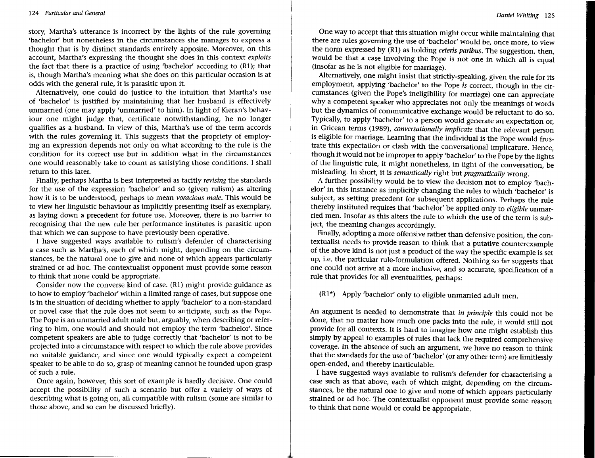story, Martha's utterance is incorrect by the lights of the rule governing 'bachelor' but nonetheless in the circumstances she manages to express a thought that is by distinct standards entirely apposite. Moreover, on this account, Martha's expressing the thought she does in this context *exploits* the fact that there is a practice of using 'bachelor' according to (R1); that is, though Martha's meaning what she does on this particular occasion is at odds with the general rule, it is parasitic upon it.

Alternatively, one could do justice to the intuition that Martha's use of 'bachelor' is justified by maintaining that her husband is effectively unmarried (one may apply 'unmarried' to him). In light of Kieran's behaviour one might judge that, certificate notwithstanding, he no longer qualifies as a husband. In view of this, Martha's use of the term accords with the rules governing it. This suggests that the propriety of employing an expression depends not only on what according to the rule is the condition for its correct use but in addition what in the circumstances one would reasonably take to count as satisfying those conditions. I shall return to this later.

Finally, perhaps Martha is best interpreted as tacitly *revising* the standards for the use of the expression 'bachelor' and so (given rulism) as altering how it is to be understood, perhaps to mean *voracious male.* This would be to view her linguistic behaviour as implicitly presenting itself as exemplary, as laying down a precedent for future use. Moreover, there is no barrier to recognising that the new rule her performance institutes is parasitic upon that which we can suppose to have previously been operative.

I have suggested ways available to rulism's defender of characterising a case such as Martha's, each of which might, depending on the circumstances, be the natural one to give and none of which appears particularly strained or ad hoc. The contextualist opponent must provide some reason to think that none could be appropriate.

Consider now the converse kind of case. (R1) might provide guidance as to how to employ 'bachelor' within a limited range of cases, but suppose one is in the situation of deciding whether to apply 'bachelor' to a non-standard or novel case that the rule does not seem to anticipate, such as the Pope. The Pope is an unmarried adult male but, arguably, when describing or referring to him, one would and should not employ the term 'bachelor'. Since competent speakers are able to judge correctly that 'bachelor' is not to be projected into a circumstance with respect to which the rule above provides no suitable guidance, and since one would typically expect a competent speaker to be able to do so, grasp of meaning cannot be founded upon grasp of such a rule.

Once again, however, this sort of example is hardly decisive. One could accept the possibility of such a scenario but offer a variety of ways of describing what is going on, all compatible with rulism (some are similar to those above, and so can be discussed briefly).

One way to accept that this situation might occur while maintaining that there are rules governing the use of 'bachelor' would be, once more, to view the norm expressed by (R1) as holding *ceteris paribus.* The suggestion, then, would be that a case involving the Pope is not one in which all is equal (insofar as he is not eligible for marriage).

Alternatively, one might insist that strictly-speaking, given the rule for its employment, applying 'bachelor' to the Pope is correct, though in the circumstances (given the Pope's ineligibility for marriage) one can appreciate why a competent speaker who appreciates not only the meanings of words but the dynamics of communicative exchange would be reluctant to do so. Typically, to apply 'bachelor' to a person would generate an expectation or, in Gricean terms (1989), *conversationally implicate* that the relevant person is eligible for marriage. Learning that the individual is the Pope would frustrate this expectation or clash with the conversational implicature. Hence, though it would not be improper to apply 'bachelor' to the Pope by the lights of the linguistic rule, it might nonetheless, in light of the conversation, be misleading. In short, it is *semantically* right but *pragmatically* wrong.

A further pOSSibility would be to view the decision not to employ 'bachelor' in this instance as implicitly changing the rules to which 'bachelor' is subject, as setting precedent for subsequent applications. Perhaps the rule thereby instituted requires that 'bachelor' be applied only to *eligible* unmarried men. Insofar as this alters the rule to which the use of the term is subject, the meaning changes accordingly.

Finally, adopting a more offensive rather than defensive position, the contextualist needs to provide reason to think that a putative counterexample of the above kind is not just a product of the way the specific example is set up, i.e. the particular rule-formulation offered. Nothing so far suggests that one could not arrive at a more inclusive, and so accurate, specification of a rule that provides for all eventualities, perhaps:

(R1\*) Apply 'bachelor' only to eligible unmarried adult men.

An argument is needed to demonstrate that in *principle* this could not be done, that no matter how much one packs into the rule, it would still not provide for all contexts. It is hard to imagine how one might establish this simply by appeal to examples of rules that lack the required comprehensive coverage. In the absence of such an argument, we have no reason to think that the standards for the use of 'bachelor' (or any other term) are limitlessly open-ended, and thereby inarticulable.

I have suggested ways available to rulism's defender for characterising a case such as that above, each of which might, depending on the circumstances, be the natural one to give and none of which appears particularly strained or ad hoc. The contextualist opponent must provide some reason to think that none would or could be appropriate.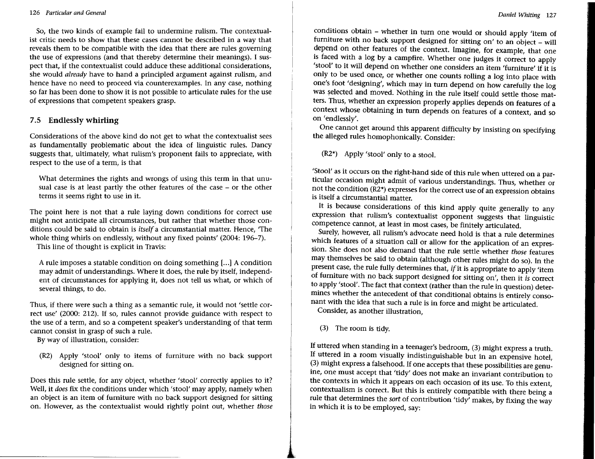So, the two kinds of example fail to undermine rulism. The contextualist critic needs to show that these cases cannot be described in a way that reveals them to be compatible with the idea that there are rules governing the use of expressions (and that thereby determine their meanings). I suspect that, if the contextualist could adduce these additional considerations, she would *already* have to hand a principled argument against rulism, and hence have no need to proceed via counterexamples. In any case, nothing so far has been done to show it is not possible to articulate rules for the use of expressions that competent speakers grasp.

## 7.5 **Endlessly whirling**

Considerations of the above kind do not get to what the contextualist sees as fundamentally problematic about the idea of linguistic rules. Dancy suggests that, ultimately, what rulism's proponent fails to appreciate, with respect to the use of a term, is that

What determines the rights and wrongs of using this term in that unusual case is at least partly the other features of the case - or the other terms it seems right to use in it.

The point here is not that a rule laying down conditions for correct use might not anticipate all circumstances, but rather that whether those conditions could be said to obtain is *itself* a circumstantial matter. Hence, 'The whole thing whirls on endlessly, without any fixed points' (2004: 196-7). This line of thought is explicit in Travis:

A rule imposes a statable condition on doing something [...] A condition may admit of understandings. Where it does, the rule by itself, independent of circumstances for applying it, does not tell us what, or which of several things, to do.

Thus, if there were such a thing as a semantic rule, it would not 'settle correct use' (2000: 212). If so, rules cannot provide guidance with respect to the use of a term, and so a competent speaker's understanding of that term cannot consist in grasp of such a rule.

By way of illustration, consider:

(R2) Apply 'stool' only to items of furniture with no back support designed for sitting on.

Does this rule settle, for any object, whether 'stool' correctly applies to it? Well, it *does* fix the conditions under which 'stool' may apply, namely when an object is an item of furniture with no back support designed for sitting on. However, as the contextualist would rightly point out, whether *those*

conditions obtain - whether in turn one would or should apply 'item of furniture with no back support designed for sitting on' to an object - will depend on other features of the context. Imagine, for example, that one is faced with a log by a campfire. Whether one judges it correct to apply 'stool' to it will depend on whether one considers an item 'furniture' if it is only to be used once, or whether one counts rolling a log into place with one's foot 'designing', which may in turn depend on how carefully the log was selected and moved. Nothing in the rule itself could settle those matters. Thus, whether an expression properly applies depends on features of a context whose obtaining in turn depends on features of a context, and so on 'endlessly'.

One cannot get around this apparent difficulty by insisting on specifying the alleged rules homophonically. Consider:

(R2\*) Apply 'stool' only to a stool.

'Stool' as it occurs on the right-hand side of this rule when uttered on a particular occasion might admit of various understandings. Thus, whether or not the condition (R2\*) expresses for the correct use of an expression obtains is itself a circumstantial matter.

It is because considerations of this kind apply quite generally to any expression that rulism's contextualist opponent suggests that linguistic competence cannot, at least in most cases, be finitely articulated.

Surely, however, all rulism's advocate need hold is that a rule determines which features of a situation call or allow for the application of an expression. She does not also demand that the rule settle whether *those* features may themselves be said to obtain (although other rules might do so). In the present case, the rule fully determines that,  $if$  it is appropriate to apply 'item of furniture with no back support designed for sitting on', then it is correct to apply 'stool'. The fact that context (rather than the rule in question) determines whether the antecedent of that conditional obtains is entirely consonant with the idea that such a rule is in force and might be articulated.

Consider, as another illustration,

(3) The room is tidy.

If uttered when standing in a teenager's bedroom, (3) might express a truth. If uttered in a room visually indistinguishable but in an expensive hotel, (3) might express a falsehood. If one accepts that these possibilities are genuine, one must accept that 'tidy' does not make an invariant contribution to the contexts in which it appears on each occasion of its use. To this extent, contextualism is correct. But this is entirely compatible with there being a rule that determines the *sort* of contribution 'tidy' makes, by fixing the way in which it is to be employed, say: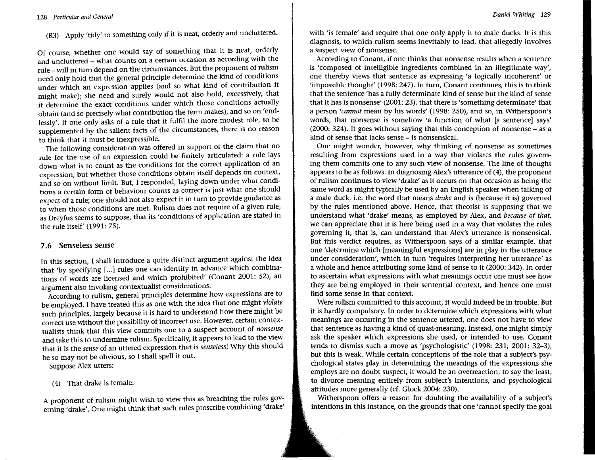# (R3) Apply 'tidy' to something only if it is neat, orderly and uncluttered.

Of course, whether one would say of something that it is neat, orderly and uncluttered - what counts on a certain occasion as according with the rule - will in turn depend on the circumstances. But the proponent of rulism need only hold that the general principle determine the kind of conditions under which an expression applies (and so what kind of contribution it might make); she need and surely would not also hold, excessively, that it determine the exact conditions under which those conditions actually obtain (and so precisely what contribution the term makes), and so on 'endlessly'. If one only asks of a rule that it fulfil the more modest role, to be supplemented by the salient facts of the circumstances, there is no reason to think that it must be inexpressible.

The following consideration was offered in support of the claim that no rule for the use of an expression could be finitely articulated: a rule lays down what is to count as the conditions for the correct application of an expression, but whether those conditions obtain itself depends on context, and so on without limit. But, I responded, laying down under what conditions a certain form of behaviour counts as correct is just what one should expect of a rule; one should not also expect it in turn to provide guidance as to when those conditions are met. Rulism does not require of a given rule, as Dreyfus seems to suppose, that its 'conditions of application are stated in the rule itself' (1991: 75).

#### 7.6 Senseless sense

In this section, I shall introduce a quite distinct argument against the idea that 'by specifying [...] rules one can identify in advance which combinations of words are licensed and which prohibited' (Conant 2001: 52), an argument also invoking contextualist considerations.

According to rulism, general principles determine how expressions are to be employed. I have treated this as one with the idea that one might *violate* such principles, largely because it is hard to understand how there might be correct use without the possibility of incorrect use. However, certain contextualists think that this view commits one to a suspect account of *nonsense* and take this to undermine rulism. Specifically, it appears to lead to the view that it is the *sense* of an uttered expression that is *senseless!* Why this should be so may not be obvious, so I shall spell it out.

Suppose Alex utters:

(4) That drake is female.

A proponent of rulism might wish to view this as breaching the rules governing 'drake'. One might think that such rules proscribe combining 'drake'

with 'is female' and require that one only apply it to male ducks. It is this diagnosis, to which rulism seems inevitably to lead, that allegedly involves a suspect view of nonsense.

According to Conant, if one thinks that nonsense results when a sentence is 'composed of intelligible ingredients combined in an illegitimate way', one thereby views that sentence as expressing 'a logically incoherent' or 'impossible thought' (1998: 247). In turn, Conant continues, this is to think that the sentence 'has a fully determinate kind of sense but the kind of sense that it has is nonsense' (2001: 23), that there is 'something determinate' that a person *'cannot* mean by his words' (1998: 250), and so, in Witherspoon's words, that nonsense is somehow 'a function of what [a sentence] says' (2000: 324). It goes without saying that this conception of nonsense - as a kind of sense that lacks sense - is nonsensical.

One might wonder, however, why thinking of nonsense as sometimes resulting from expressions used in a way that violates the rules governing them commits one to any such view of nonsense. The line of thought appears to be as follows. In diagnosing Alex's utterance of (4), the proponent of rulism continues to view 'drake' as it occurs on that occasion as being the same word as might typically be used by an English speaker when talking of a male duck, i.e. the word that means drake and is (because it is) governed by the rules mentioned above. Hence, that theorist is supposing that we understand what 'drake' means, as employed by Alex, and *because of that,* we can appreciate that it is here being used in a way that violates the rules governing it, that is, can understand that Alex's utterance is nonsensical. But this verdict requires, as Witherspoon says of a similar example, that one 'determine which [meaningful expressions] are in play in the utterance under consideration', which in turn 'requires interpreting her utterance' as a whole and hence attributing some kind of sense to it (2000: 342). In order to ascertain what expressions with what meanings occur one must see how they are being employed in their sentential context, and hence one must find some sense in that context.

Were rulism committed to this account, it would indeed be in trouble. But it is hardly compulsory. In order to determine which expressions with what meanings are occurring in the sentence uttered, one does not have to view that sentence as having a kind of quasi-meaning. Instead, one might simply ask the speaker which expressions she used, or intended to use. Conant tends to dismiss such a move as 'psychologistic' (1998: 231; 2001: 32-3), but this is weak. While certain conceptions of the role that a subject's psychological states play in determining the meanings of the expressions she employs are no doubt suspect, it would be an overreaction, to say the least, to divorce meaning entirely from subject's intentions, and psychological attitudes more generally (ct. Glock 2004: 230).

Witherspoon offers a reason for doubting the availability of a subject's intentions in this instance, on the grounds that one 'cannot specify the goal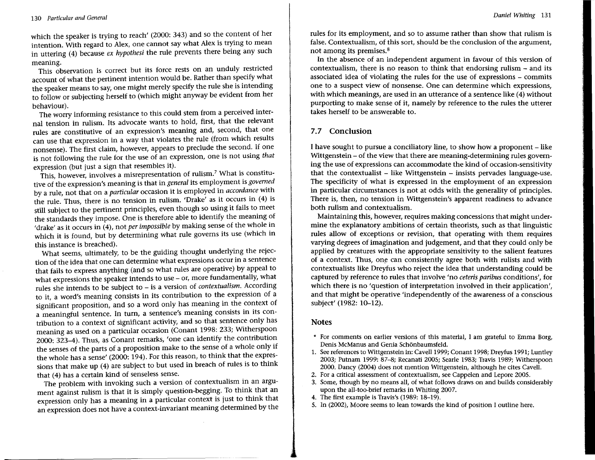which the speaker is trying to reach' (2000: 343) and so the content of her intention. With regard to Alex, one cannot say what Alex is trying to mean in uttering (4) because *ex hypothesi* the rule prevents there being any such meaning.

This observation is correct but its force rests on an unduly restricted account of what the pertinent intention would be. Rather than specify what the speaker means to say, one might merely specify the rule she is intending to follow or subjecting herself to (which might anyway be evident from her behaviour).

The worry informing resistance to this could stem from a perceived internal tension in rulism. Its advocate wants to hold, first, that the relevant rules are constitutive of an expression's meaning and, second, that one can use that expression in a way that violates the rule (from which results nonsense). The first claim, however, appears to preclude the second. If one is not following the rule for the use of an expression, one is not using *that* expression (but just a sign that resembles it).

This, however, involves a misrepresentation of rulism.<sup>7</sup> What is constitutive of the expression's meaning is that in *general* its employment is *governed* by a rule, not that on a *particular* occasion it is employed in *accordance* with the rule. Thus, there is no tension in rulism. 'Drake' as it occurs in (4) is still subject to the pertinent principles, even though so using it fails to meet the standards they impose. One is therefore able to identify the meaning of 'drake' as it occurs in (4), not *per impossible* by making sense of the whole in which it is found, but by determining what rule governs its use (which in this instance is breached).

What seems, ultimately, to be the guiding thought underlying the rejection of the idea that one can determine what expressions occur in a sentence that fails to express anything (and so what rules are operative) by appeal to what expressions the speaker intends to use - or, more fundamentally, what rules she intends to be subject to - is a version of *contextualism*. According to it, a word's meaning consists in its contribution to the expression of a significant proposition, and so a word only has meaning in the context of a meaningful sentence. In turn, a sentence's meaning consists in its contribution to a context of significant activity, and so that sentence only has meaning as used on a particular occasion (Conant 1998: 233; Witherspoon 2000: 323-4). Thus, as Conant remarks, 'one can identify the contribution the senses of the parts of a proposition make to the sense of a whole only if the whole has a sense' (2000: 194). For this reason, to think that the expressions that make up (4) are subject to but used in breach of rules is to think that (4) has a certain kind of senseless sense.

The problem with invoking such a version of contextualism in an argument against rulism is that it is simply question-begging. To think that an expression only has a meaning in a particular context is just to think that an expression does not have a context-invariant meaning determined by the rules for its employment, and so to assume rather than show that rulism is false. Contextualism, of this sort, should be the conclusion of the argument, not among its premises.8

In the absence of an independent argument in favour of this version of contextualism, there is no reason to think that endorsing rulism - and its associated idea of violating the rules for the use of expressions - commits one to a suspect view of nonsense. One can determine which expressions, with which meanings, are used in an utterance of a sentence like (4) without purporting to make sense of it, namely by reference to the rules the utterer takes herself to be answerable to.

#### **7.7 Conclusion**

I have sought to pursue a conciliatory line, to show how a proponent - like Wittgenstein – of the view that there are meaning-determining rules governing the use of expressions can accommodate the kind of occasion-sensitivity that the contextualist  $-$  like Wittgenstein  $-$  insists pervades language-use. The specificity of what is expressed in the employment of an expression in particular circumstances is not at odds with the generality of principles. There is, then, no tension in Wittgenstein's apparent readiness to advance both rulism and contextualism.

Maintaining this, however, requires making concessions that might undermine the explanatory ambitions of certain theorists, such as that linguistic rules allow of exceptions or revision, that operating with them requires varying degrees of imagination and judgement, and that they could only be applied by creatures with the appropriate sensitivity to the salient features of a context. Thus, one can consistently agree both with rulists and with contextualists like Dreyfus who reject the idea that understanding could be captured by reference to rules that involve 'no *ceteris paribus* conditions', for which there is no 'question of interpretation involved in their application', and that might be operative 'independently of the awareness of a conscious subject' (1982: 10-12).

#### **Notes**

- \* For comments on earlier versions of this material, I am grateful to Emma Borg, Denis McManus and Genia Schonbaumsfeld.
- 1. See references to Wittgenstein in: Cavell 1999; Conant 1998; Dreyfus 1991; Luntley 2003; Putnam 1999: 87-8; Recanati 2005; Searle 1983; Travis 1989; Witherspoon 2000. Dancy (2004) does not mention Wittgenstein, although he cites Cavell.
- 2. For a critical assessment of contextualism, see Cappelen and Lepore 2005.
- 3. Some, though by no means all, of what follows draws on and builds considerably upon the all-too-brief remarks in Whiting 2007.
- 4. The first example is Travis's (1989: 18-19).
- 5. In (2002), Moore seems to lean towards the kind of position I outline here.